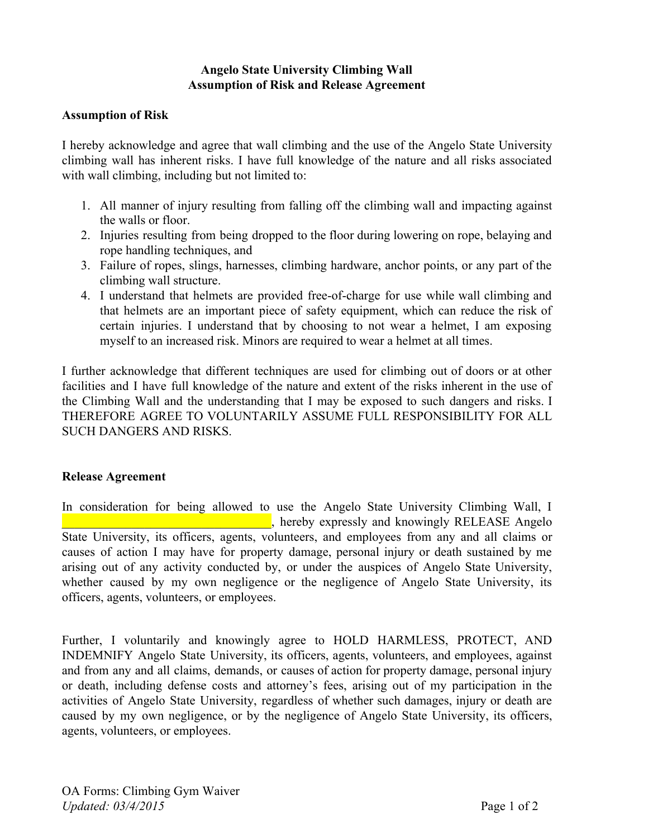## **Angelo State University Climbing Wall Assumption of Risk and Release Agreement**

## **Assumption of Risk**

I hereby acknowledge and agree that wall climbing and the use of the Angelo State University climbing wall has inherent risks. I have full knowledge of the nature and all risks associated with wall climbing, including but not limited to:

- 1. All manner of injury resulting from falling off the climbing wall and impacting against the walls or floor.
- 2. Injuries resulting from being dropped to the floor during lowering on rope, belaying and rope handling techniques, and
- 3. Failure of ropes, slings, harnesses, climbing hardware, anchor points, or any part of the climbing wall structure.
- 4. I understand that helmets are provided free-of-charge for use while wall climbing and that helmets are an important piece of safety equipment, which can reduce the risk of certain injuries. I understand that by choosing to not wear a helmet, I am exposing myself to an increased risk. Minors are required to wear a helmet at all times.

I further acknowledge that different techniques are used for climbing out of doors or at other facilities and I have full knowledge of the nature and extent of the risks inherent in the use of the Climbing Wall and the understanding that I may be exposed to such dangers and risks. I THEREFORE AGREE TO VOLUNTARILY ASSUME FULL RESPONSIBILITY FOR ALL SUCH DANGERS AND RISKS.

## **Release Agreement**

In consideration for being allowed to use the Angelo State University Climbing Wall, I  $\blacksquare$ , hereby expressly and knowingly RELEASE Angelo State University, its officers, agents, volunteers, and employees from any and all claims or causes of action I may have for property damage, personal injury or death sustained by me arising out of any activity conducted by, or under the auspices of Angelo State University, whether caused by my own negligence or the negligence of Angelo State University, its officers, agents, volunteers, or employees.

Further, I voluntarily and knowingly agree to HOLD HARMLESS, PROTECT, AND INDEMNIFY Angelo State University, its officers, agents, volunteers, and employees, against and from any and all claims, demands, or causes of action for property damage, personal injury or death, including defense costs and attorney's fees, arising out of my participation in the activities of Angelo State University, regardless of whether such damages, injury or death are caused by my own negligence, or by the negligence of Angelo State University, its officers, agents, volunteers, or employees.